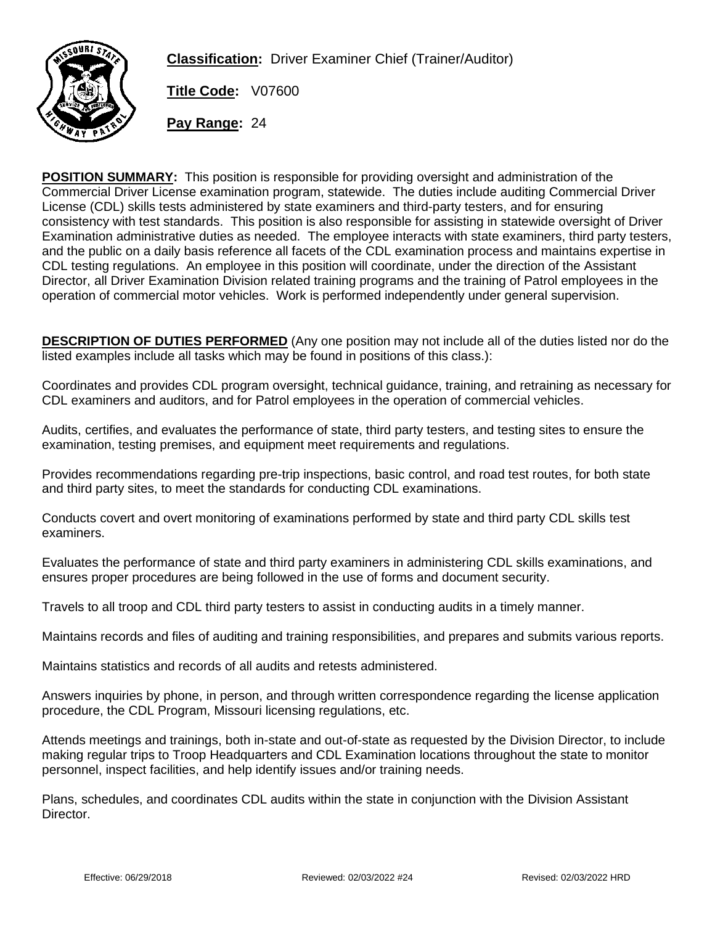

**Classification:** Driver Examiner Chief (Trainer/Auditor)

**Title Code:** V07600

**Pay Range:** 24

**POSITION SUMMARY:** This position is responsible for providing oversight and administration of the Commercial Driver License examination program, statewide. The duties include auditing Commercial Driver License (CDL) skills tests administered by state examiners and third-party testers, and for ensuring consistency with test standards. This position is also responsible for assisting in statewide oversight of Driver Examination administrative duties as needed. The employee interacts with state examiners, third party testers, and the public on a daily basis reference all facets of the CDL examination process and maintains expertise in CDL testing regulations. An employee in this position will coordinate, under the direction of the Assistant Director, all Driver Examination Division related training programs and the training of Patrol employees in the operation of commercial motor vehicles. Work is performed independently under general supervision.

**DESCRIPTION OF DUTIES PERFORMED** (Any one position may not include all of the duties listed nor do the listed examples include all tasks which may be found in positions of this class.):

Coordinates and provides CDL program oversight, technical guidance, training, and retraining as necessary for CDL examiners and auditors, and for Patrol employees in the operation of commercial vehicles.

Audits, certifies, and evaluates the performance of state, third party testers, and testing sites to ensure the examination, testing premises, and equipment meet requirements and regulations.

Provides recommendations regarding pre-trip inspections, basic control, and road test routes, for both state and third party sites, to meet the standards for conducting CDL examinations.

Conducts covert and overt monitoring of examinations performed by state and third party CDL skills test examiners.

Evaluates the performance of state and third party examiners in administering CDL skills examinations, and ensures proper procedures are being followed in the use of forms and document security.

Travels to all troop and CDL third party testers to assist in conducting audits in a timely manner.

Maintains records and files of auditing and training responsibilities, and prepares and submits various reports.

Maintains statistics and records of all audits and retests administered.

Answers inquiries by phone, in person, and through written correspondence regarding the license application procedure, the CDL Program, Missouri licensing regulations, etc.

Attends meetings and trainings, both in-state and out-of-state as requested by the Division Director, to include making regular trips to Troop Headquarters and CDL Examination locations throughout the state to monitor personnel, inspect facilities, and help identify issues and/or training needs.

Plans, schedules, and coordinates CDL audits within the state in conjunction with the Division Assistant Director.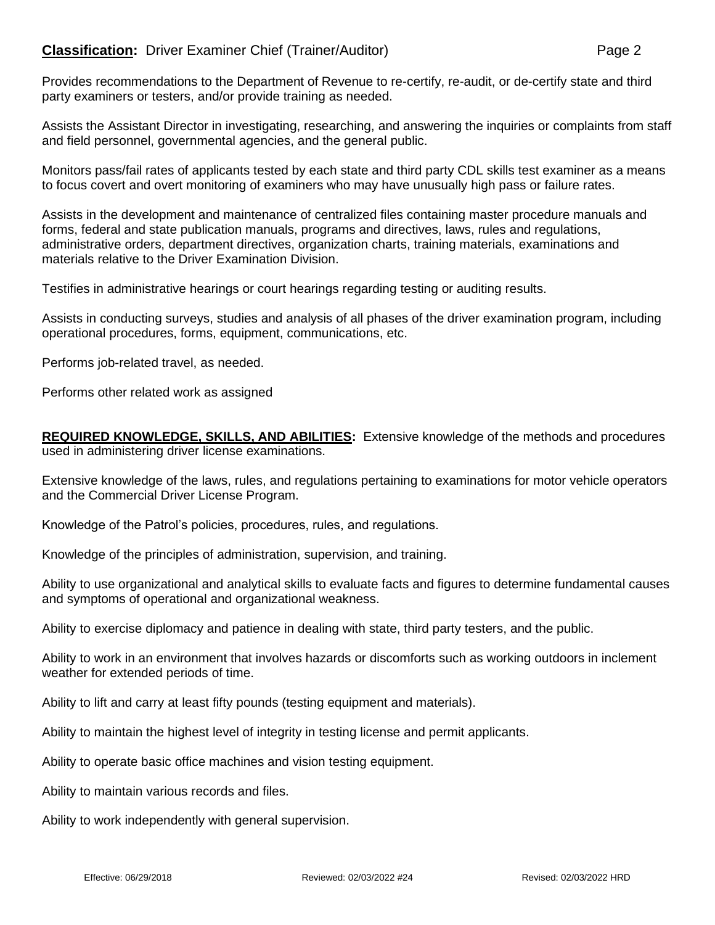## **Classification:** Driver Examiner Chief (Trainer/Auditor) **Page 2** Page 2

Provides recommendations to the Department of Revenue to re-certify, re-audit, or de-certify state and third party examiners or testers, and/or provide training as needed.

Assists the Assistant Director in investigating, researching, and answering the inquiries or complaints from staff and field personnel, governmental agencies, and the general public.

Monitors pass/fail rates of applicants tested by each state and third party CDL skills test examiner as a means to focus covert and overt monitoring of examiners who may have unusually high pass or failure rates.

Assists in the development and maintenance of centralized files containing master procedure manuals and forms, federal and state publication manuals, programs and directives, laws, rules and regulations, administrative orders, department directives, organization charts, training materials, examinations and materials relative to the Driver Examination Division.

Testifies in administrative hearings or court hearings regarding testing or auditing results.

Assists in conducting surveys, studies and analysis of all phases of the driver examination program, including operational procedures, forms, equipment, communications, etc.

Performs job-related travel, as needed.

Performs other related work as assigned

**REQUIRED KNOWLEDGE, SKILLS, AND ABILITIES:** Extensive knowledge of the methods and procedures used in administering driver license examinations.

Extensive knowledge of the laws, rules, and regulations pertaining to examinations for motor vehicle operators and the Commercial Driver License Program.

Knowledge of the Patrol's policies, procedures, rules, and regulations.

Knowledge of the principles of administration, supervision, and training.

Ability to use organizational and analytical skills to evaluate facts and figures to determine fundamental causes and symptoms of operational and organizational weakness.

Ability to exercise diplomacy and patience in dealing with state, third party testers, and the public.

Ability to work in an environment that involves hazards or discomforts such as working outdoors in inclement weather for extended periods of time.

Ability to lift and carry at least fifty pounds (testing equipment and materials).

Ability to maintain the highest level of integrity in testing license and permit applicants.

Ability to operate basic office machines and vision testing equipment.

Ability to maintain various records and files.

Ability to work independently with general supervision.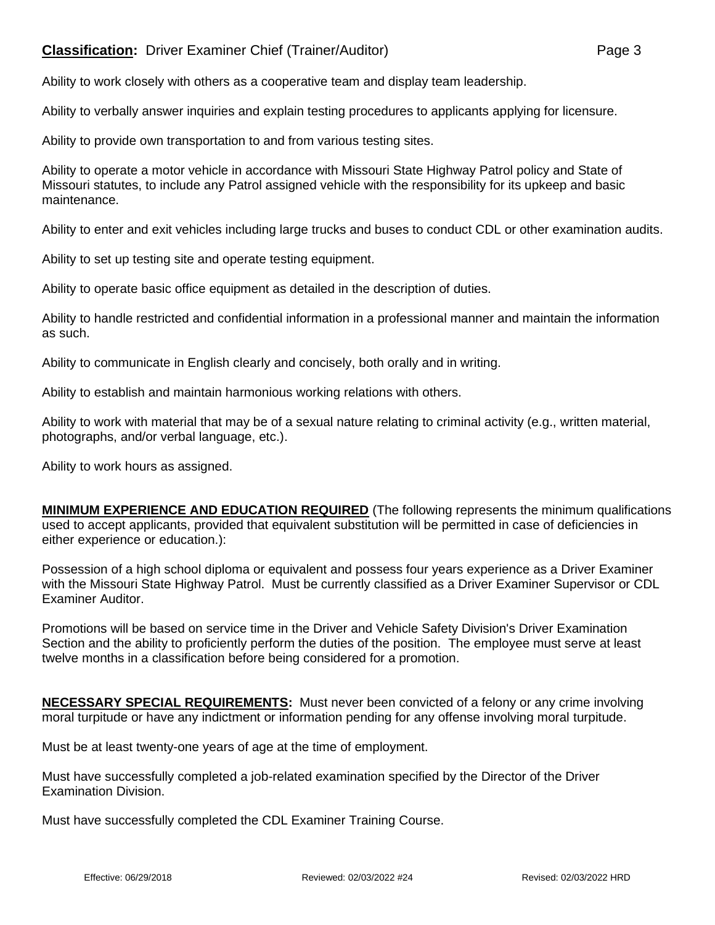## **Classification:** Driver Examiner Chief (Trainer/Auditor) **Page 3**

Ability to verbally answer inquiries and explain testing procedures to applicants applying for licensure.

Ability to provide own transportation to and from various testing sites.

Ability to operate a motor vehicle in accordance with Missouri State Highway Patrol policy and State of Missouri statutes, to include any Patrol assigned vehicle with the responsibility for its upkeep and basic maintenance.

Ability to enter and exit vehicles including large trucks and buses to conduct CDL or other examination audits.

Ability to set up testing site and operate testing equipment.

Ability to operate basic office equipment as detailed in the description of duties.

Ability to handle restricted and confidential information in a professional manner and maintain the information as such.

Ability to communicate in English clearly and concisely, both orally and in writing.

Ability to establish and maintain harmonious working relations with others.

Ability to work with material that may be of a sexual nature relating to criminal activity (e.g., written material, photographs, and/or verbal language, etc.).

Ability to work hours as assigned.

**MINIMUM EXPERIENCE AND EDUCATION REQUIRED** (The following represents the minimum qualifications used to accept applicants, provided that equivalent substitution will be permitted in case of deficiencies in either experience or education.):

Possession of a high school diploma or equivalent and possess four years experience as a Driver Examiner with the Missouri State Highway Patrol. Must be currently classified as a Driver Examiner Supervisor or CDL Examiner Auditor.

Promotions will be based on service time in the Driver and Vehicle Safety Division's Driver Examination Section and the ability to proficiently perform the duties of the position. The employee must serve at least twelve months in a classification before being considered for a promotion.

**NECESSARY SPECIAL REQUIREMENTS:** Must never been convicted of a felony or any crime involving moral turpitude or have any indictment or information pending for any offense involving moral turpitude.

Must be at least twenty-one years of age at the time of employment.

Must have successfully completed a job-related examination specified by the Director of the Driver Examination Division.

Must have successfully completed the CDL Examiner Training Course.